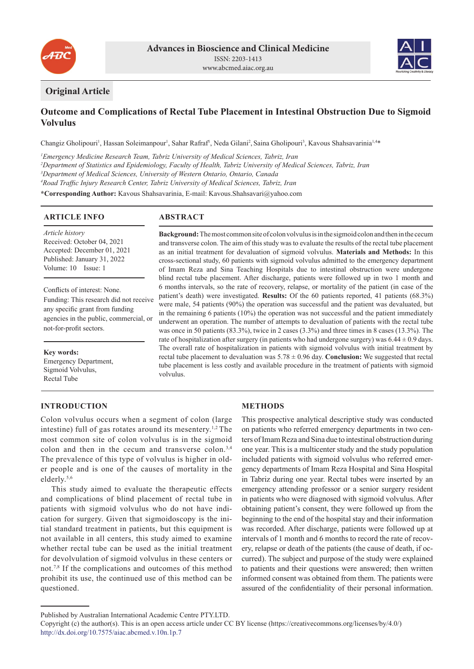



## **Original Article**

## **Outcome and Complications of Rectal Tube Placement in Intestinal Obstruction Due to Sigmoid Volvulus**

Changiz Gholipouri<sup>1</sup>, Hassan Soleimanpour<sup>1</sup>, Sahar Rafraf<sup>1</sup>, Neda Gilani<sup>2</sup>, Saina Gholipouri<sup>3</sup>, Kavous Shahsavarinia<sup>1,4\*</sup>

 *Emergency Medicine Research Team, Tabriz University of Medical Sciences, Tabriz, Iran Department of Statistics and Epidemiology, Faculty of Health, Tabriz University of Medical Sciences, Tabriz, Iran Department of Medical Sciences, University of Western Ontario, Ontario, Canada Road Traffic Injury Research Center, Tabriz University of Medical Sciences, Tabriz, Iran*

**\*Corresponding Author:** Kavous Shahsavarinia, E-mail: Kavous.Shahsavari@yahoo.com

#### **ARTICLE INFO**

**ABSTRACT**

*Article history* Received: October 04, 2021 Accepted: December 01, 2021 Published: January 31, 2022 Volume: 10 Issue: 1

Conflicts of interest: None. Funding: This research did not receive any specific grant from funding agencies in the public, commercial, or not-for-profit sectors.

**Key words:** Emergency Department, Sigmoid Volvulus, Rectal Tube

# **INTRODUCTION**

as an initial treatment for devaluation of sigmoid volvulus. **Materials and Methods:** In this cross-sectional study, 60 patients with sigmoid volvulus admitted to the emergency department of Imam Reza and Sina Teaching Hospitals due to intestinal obstruction were undergone blind rectal tube placement. After discharge, patients were followed up in two 1 month and 6 months intervals, so the rate of recovery, relapse, or mortality of the patient (in case of the patient's death) were investigated. **Results:** Of the 60 patients reported, 41 patients (68.3%) were male, 54 patients (90%) the operation was successful and the patient was devaluated, but in the remaining 6 patients (10%) the operation was not successful and the patient immediately underwent an operation. The number of attempts to devaluation of patients with the rectal tube was once in 50 patients (83.3%), twice in 2 cases (3.3%) and three times in 8 cases (13.3%). The rate of hospitalization after surgery (in patients who had undergone surgery) was  $6.44 \pm 0.9$  days. The overall rate of hospitalization in patients with sigmoid volvulus with initial treatment by rectal tube placement to devaluation was 5.78 ± 0.96 day. **Conclusion:** We suggested that rectal tube placement is less costly and available procedure in the treatment of patients with sigmoid volvulus.

**Background:** The most common site of colon volvulus is in the sigmoid colon and then in the cecum and transverse colon. The aim of this study was to evaluate the results of the rectal tube placement

Colon volvulus occurs when a segment of colon (large intestine) full of gas rotates around its mesentery.1,2 The most common site of colon volvulus is in the sigmoid colon and then in the cecum and transverse colon.3,4 The prevalence of this type of volvulus is higher in older people and is one of the causes of mortality in the elderly.5,6

This study aimed to evaluate the therapeutic effects and complications of blind placement of rectal tube in patients with sigmoid volvulus who do not have indication for surgery. Given that sigmoidoscopy is the initial standard treatment in patients, but this equipment is not available in all centers, this study aimed to examine whether rectal tube can be used as the initial treatment for devolvulation of sigmoid volvulus in these centers or not.7,8 If the complications and outcomes of this method prohibit its use, the continued use of this method can be questioned.

### **METHODS**

This prospective analytical descriptive study was conducted on patients who referred emergency departments in two centers of Imam Reza and Sina due to intestinal obstruction during one year. This is a multicenter study and the study population included patients with sigmoid volvulus who referred emergency departments of Imam Reza Hospital and Sina Hospital in Tabriz during one year. Rectal tubes were inserted by an emergency attending professor or a senior surgery resident in patients who were diagnosed with sigmoid volvulus. After obtaining patient's consent, they were followed up from the beginning to the end of the hospital stay and their information was recorded. After discharge, patients were followed up at intervals of 1 month and 6 months to record the rate of recovery, relapse or death of the patients (the cause of death, if occurred). The subject and purpose of the study were explained to patients and their questions were answered; then written informed consent was obtained from them. The patients were assured of the confidentiality of their personal information.

Published by Australian International Academic Centre PTY.LTD.

Copyright (c) the author(s). This is an open access article under CC BY license (https://creativecommons.org/licenses/by/4.0/) http://dx.doi.org/10.7575/aiac.abcmed.v.10n.1p.7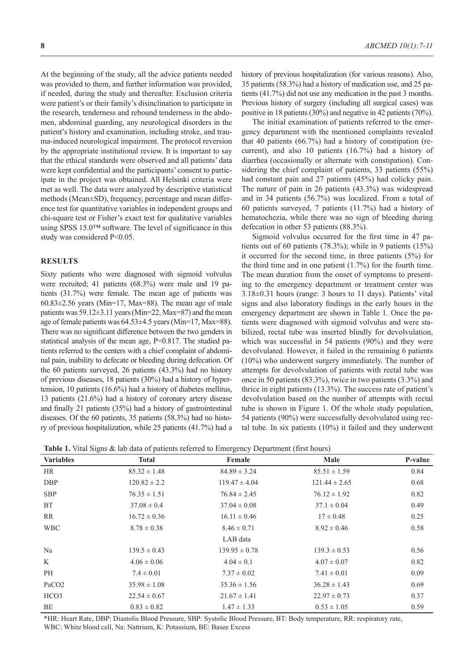At the beginning of the study, all the advice patients needed was provided to them, and further information was provided, if needed, during the study and thereafter. Exclusion criteria were patient's or their family's disinclination to participate in the research, tenderness and rebound tenderness in the abdomen, abdominal guarding, any neurological disorders in the patient's history and examination, including stroke, and trauma-induced neurological impairment. The protocol reversion by the appropriate institutional review. It is important to say that the ethical standards were observed and all patients' data were kept confidential and the participants' consent to participate in the project was obtained. All Helsinki criteria were met as well. The data were analyzed by descriptive statistical methods (Mean±SD), frequency, percentage and mean difference test for quantitative variables in independent groups and chi-square test or Fisher's exact test for qualitative variables using SPSS 15.0™ software. The level of significance in this study was considered P<0.05.

#### **RESULTS**

Sixty patients who were diagnosed with sigmoid volvulus were recruited; 41 patients (68.3%) were male and 19 patients (31.7%) were female. The mean age of patients was  $60.83\pm2.56$  years (Min=17, Max=88). The mean age of male patients was 59.12±3.11 years (Min=22, Max=87) and the mean age of female patients was 64.53±4.5 years (Min=17, Max=88). There was no significant difference between the two genders in statistical analysis of the mean age, P=0.817. The studied patients referred to the centers with a chief complaint of abdominal pain, inability to defecate or bleeding during defecation. Of the 60 patients surveyed, 26 patients (43.3%) had no history of previous diseases, 18 patients (30%) had a history of hypertension, 10 patients (16.6%) had a history of diabetes mellitus, 13 patients (21.6%) had a history of coronary artery disease and finally 21 patients (35%) had a history of gastrointestinal diseases. Of the 60 patients, 35 patients (58.3%) had no history of previous hospitalization, while 25 patients (41.7%) had a

history of previous hospitalization (for various reasons). Also, 35 patients (58.3%) had a history of medication use, and 25 patients (41.7%) did not use any medication in the past 3 months. Previous history of surgery (including all surgical cases) was positive in 18 patients (30%) and negative in 42 patients (70%).

The initial examination of patients referred to the emergency department with the mentioned complaints revealed that 40 patients (66.7%) had a history of constipation (recurrent), and also 10 patients (16.7%) had a history of diarrhea (occasionally or alternate with constipation). Considering the chief complaint of patients, 33 patients (55%) had constant pain and 27 patients (45%) had colicky pain. The nature of pain in 26 patients (43.3%) was widespread and in 34 patients (56.7%) was localized. From a total of 60 patients surveyed, 7 patients (11.7%) had a history of hematochezia, while there was no sign of bleeding during defecation in other 53 patients (88.3%).

Sigmoid volvulus occurred for the first time in 47 patients out of 60 patients (78.3%); while in 9 patients (15%) it occurred for the second time, in three patients (5%) for the third time and in one patient (1.7%) for the fourth time. The mean duration from the onset of symptoms to presenting to the emergency department or treatment center was 3.18±0.31 hours (range: 3 hours to 11 days). Patients' vital signs and also laboratory findings in the early hours in the emergency department are shown in Table 1. Once the patients were diagnosed with sigmoid volvulus and were stabilized, rectal tube was inserted blindly for devolvulation, which was successful in 54 patients (90%) and they were devolvulated. However, it failed in the remaining 6 patients (10%) who underwent surgery immediately. The number of attempts for devolvulation of patients with rectal tube was once in 50 patients (83.3%), twice in two patients (3.3%) and thrice in eight patients (13.3%). The success rate of patient's devolvulation based on the number of attempts with rectal tube is shown in Figure 1. Of the whole study population, 54 patients (90%) were successfully devolvulated using rectal tube. In six patients (10%) it failed and they underwent

|  | <b>Table 1.</b> Vital Signs & lab data of patients referred to Emergency Department (first hours) |  |  |
|--|---------------------------------------------------------------------------------------------------|--|--|
|  |                                                                                                   |  |  |

| <b>Variables</b>  | <b>Total</b>     | Female            | Male              | P-value |
|-------------------|------------------|-------------------|-------------------|---------|
| <b>HR</b>         | $85.32 \pm 1.48$ | $84.89 \pm 3.24$  | $85.51 \pm 1.59$  | 0.84    |
| <b>DBP</b>        | $120.82 \pm 2.2$ | $119.47 \pm 4.04$ | $121.44 \pm 2.65$ | 0.68    |
| <b>SBP</b>        | $76.35 \pm 1.51$ | $76.84 \pm 2.45$  | $76.12 \pm 1.92$  | 0.82    |
| <b>BT</b>         | $37.08 \pm 0.4$  | $37.04 \pm 0.08$  | $37.1 \pm 0.04$   | 0.49    |
| RR                | $16.72 \pm 0.36$ | $16.11 \pm 0.46$  | $17 \pm 0.48$     | 0.25    |
| <b>WBC</b>        | $8.78 \pm 0.38$  | $8.46 \pm 0.71$   | $8.92 \pm 0.46$   | 0.58    |
|                   |                  | LAB data          |                   |         |
| Na                | $139.5 \pm 0.43$ | $139.95 \pm 0.78$ | $139.3 \pm 0.53$  | 0.56    |
| K                 | $4.06 \pm 0.06$  | $4.04 \pm 0.1$    | $4.07 \pm 0.07$   | 0.82    |
| PH                | $7.4 \pm 0.01$   | $7.37 \pm 0.02$   | $7.41 \pm 0.01$   | 0.09    |
| PaCO <sub>2</sub> | $35.98 \pm 1.08$ | $35.36 \pm 1.56$  | $36.28 \pm 1.43$  | 0.69    |
| HCO <sub>3</sub>  | $22.54 \pm 0.67$ | $21.67 \pm 1.41$  | $22.97 \pm 0.73$  | 0.37    |
| BE                | $0.83 \pm 0.82$  | $1.47 \pm 1.33$   | $0.53 \pm 1.05$   | 0.59    |

\*HR: Heart Rate, DBP: Diastolis Blood Pressure, SBP: Systolic Blood Pressure, BT: Body temperature, RR: respiratory rate, WBC: White blood cell, Na: Nattrium, K: Potassium, BE: Basee Excess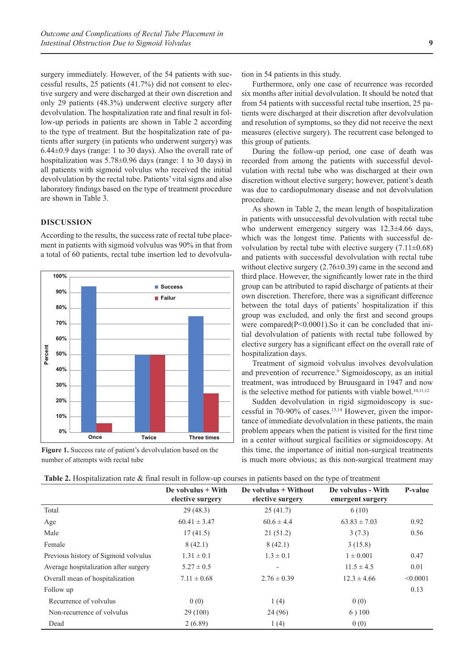surgery immediately. However, of the 54 patients with successful results, 25 patients (41.7%) did not consent to elective surgery and were discharged at their own discretion and only 29 patients (48.3%) underwent elective surgery after devolvulation. The hospitalization rate and final result in follow-up periods in patients are shown in Table 2 according to the type of treatment. But the hospitalization rate of patients after surgery (in patients who underwent surgery) was 6.44±0.9 days (range: 1 to 30 days). Also the overall rate of hospitalization was 5.78±0.96 days (range: 1 to 30 days) in all patients with sigmoid volvulus who received the initial devolvulation by the rectal tube. Patients' vital signs and also laboratory findings based on the type of treatment procedure are shown in Table 3.

#### **DISCUSSION**

According to the results, the success rate of rectal tube placement in patients with sigmoid volvulus was 90% in that from a total of 60 patients, rectal tube insertion led to devolvula-



**Figure 1.** Success rate of patient's devolvulation based on the number of attempts with rectal tube

tion in 54 patients in this study.

Furthermore, only one case of recurrence was recorded six months after initial devolvulation. It should be noted that from 54 patients with successful rectal tube insertion, 25 patients were discharged at their discretion after devolvulation and resolution of symptoms, so they did not receive the next measures (elective surgery). The recurrent case belonged to this group of patients.

During the follow-up period, one case of death was recorded from among the patients with successful devolvulation with rectal tube who was discharged at their own discretion without elective surgery; however, patient's death was due to cardiopulmonary disease and not devolvulation procedure.

As shown in Table 2, the mean length of hospitalization in patients with unsuccessful devolvulation with rectal tube who underwent emergency surgery was 12.3±4.66 days, which was the longest time. Patients with successful devolvulation by rectal tube with elective surgery  $(7.11\pm0.68)$ and patients with successful devolvulation with rectal tube without elective surgery  $(2.76\pm0.39)$  came in the second and third place. However, the significantly lower rate in the third group can be attributed to rapid discharge of patients at their own discretion. Therefore, there was a significant difference between the total days of patients' hospitalization if this group was excluded, and only the first and second groups were compared(P<0.0001).So it can be concluded that initial devolvulation of patients with rectal tube followed by elective surgery has a significant effect on the overall rate of hospitalization days.

Treatment of sigmoid volvulus involves devolvulation and prevention of recurrence.<sup>9</sup> Sigmoidoscopy, as an initial treatment, was introduced by Bruusgaard in 1947 and now is the selective method for patients with viable bowel.<sup>10,11,12</sup>

Sudden devolvulation in rigid sigmoidoscopy is successful in 70-90% of cases.<sup>13,14</sup> However, given the importance of immediate devolvulation in these patients, the main problem appears when the patient is visited for the first time in a center without surgical facilities or sigmoidoscopy. At this time, the importance of initial non-surgical treatments is much more obvious; as this non-surgical treatment may

|                                       | De volvulus $+$ With<br>elective surgery | De volvulus $+$ Without<br>elective surgery | De volvulus - With<br>emergent surgery | P-value  |
|---------------------------------------|------------------------------------------|---------------------------------------------|----------------------------------------|----------|
| Total                                 | 29(48.3)                                 | 25(41.7)                                    | 6(10)                                  |          |
| Age                                   | $60.41 \pm 3.47$                         | $60.6 \pm 4.4$                              | $63.83 \pm 7.03$                       | 0.92     |
| Male                                  | 17(41.5)                                 | 21(51.2)                                    | 3(7.3)                                 | 0.56     |
| Female                                | 8(42.1)                                  | 8(42.1)                                     | 3(15.8)                                |          |
| Previous history of Sigmoid volvulus  | $1.31 \pm 0.1$                           | $1.3 \pm 0.1$                               | $1 \pm 0.001$                          | 0.47     |
| Average hospitalization after surgery | $5.27 \pm 0.5$                           |                                             | $11.5 \pm 4.5$                         | 0.01     |
| Overall mean of hospitalization       | $7.11 \pm 0.68$                          | $2.76 \pm 0.39$                             | $12.3 \pm 4.66$                        | < 0.0001 |
| Follow up                             |                                          |                                             |                                        | 0.13     |
| Recurrence of volvulus                | 0(0)                                     | 1(4)                                        | 0(0)                                   |          |
| Non-recurrence of volvulus            | 29(100)                                  | 24 (96)                                     | 6)100                                  |          |
| Dead                                  | 2(6.89)                                  | 1(4)                                        | 0(0)                                   |          |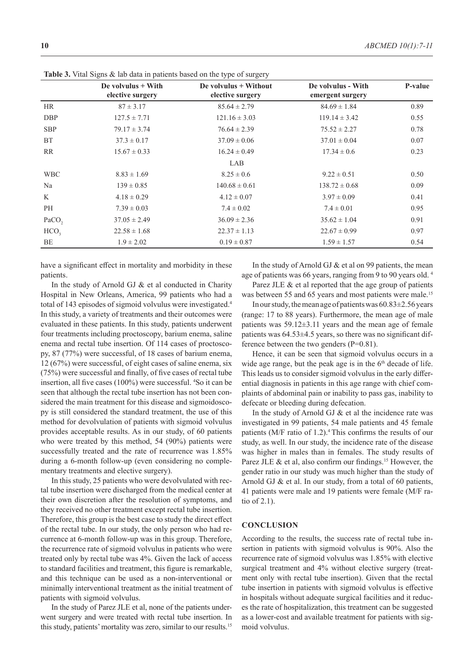|                   | De volvulus $+$ With<br>elective surgery | De volvulus + Without<br>elective surgery | De volvulus - With<br>emergent surgery | <b>P-value</b> |
|-------------------|------------------------------------------|-------------------------------------------|----------------------------------------|----------------|
| <b>HR</b>         | $87 \pm 3.17$                            | $85.64 \pm 2.79$                          | $84.69 \pm 1.84$                       | 0.89           |
| <b>DBP</b>        | $127.5 \pm 7.71$                         | $121.16 \pm 3.03$                         | $119.14 \pm 3.42$                      | 0.55           |
| <b>SBP</b>        | $79.17 \pm 3.74$                         | $76.64 \pm 2.39$                          | $75.52 \pm 2.27$                       | 0.78           |
| <b>BT</b>         | $37.3 \pm 0.17$                          | $37.09 \pm 0.06$                          | $37.01 \pm 0.04$                       | 0.07           |
| RR                | $15.67 \pm 0.33$                         | $16.24 \pm 0.49$                          | $17.34 \pm 0.6$                        | 0.23           |
|                   |                                          | LAB                                       |                                        |                |
| <b>WBC</b>        | $8.83 \pm 1.69$                          | $8.25 \pm 0.6$                            | $9.22 \pm 0.51$                        | 0.50           |
| Na                | $139 \pm 0.85$                           | $140.68 \pm 0.61$                         | $138.72 \pm 0.68$                      | 0.09           |
| K                 | $4.18 \pm 0.29$                          | $4.12 \pm 0.07$                           | $3.97 \pm 0.09$                        | 0.41           |
| PH                | $7.39 \pm 0.03$                          | $7.4 \pm 0.02$                            | $7.4 \pm 0.01$                         | 0.95           |
| PaCO <sub>2</sub> | $37.05 \pm 2.49$                         | $36.09 \pm 2.36$                          | $35.62 \pm 1.04$                       | 0.91           |
| HCO <sub>3</sub>  | $22.58 \pm 1.68$                         | $22.37 \pm 1.13$                          | $22.67 \pm 0.99$                       | 0.97           |
| BE                | $1.9 \pm 2.02$                           | $0.19 \pm 0.87$                           | $1.59 \pm 1.57$                        | 0.54           |

**Table 3.** Vital Signs & lab data in patients based on the type of surgery

have a significant effect in mortality and morbidity in these patients.

In the study of Arnold GJ & et al conducted in Charity Hospital in New Orleans, America, 99 patients who had a total of 143 episodes of sigmoid volvulus were investigated.<sup>4</sup> In this study, a variety of treatments and their outcomes were evaluated in these patients. In this study, patients underwent four treatments including proctoscopy, barium enema, saline enema and rectal tube insertion. Of 114 cases of proctoscopy, 87 (77%) were successful, of 18 cases of barium enema, 12 (67%) were successful, of eight cases of saline enema, six (75%) were successful and finally, of five cases of rectal tube insertion, all five cases (100%) were successful. <sup>4</sup> So it can be seen that although the rectal tube insertion has not been considered the main treatment for this disease and sigmoidoscopy is still considered the standard treatment, the use of this method for devolvulation of patients with sigmoid volvulus provides acceptable results. As in our study, of 60 patients who were treated by this method, 54 (90%) patients were successfully treated and the rate of recurrence was 1.85% during a 6-month follow-up (even considering no complementary treatments and elective surgery).

In this study, 25 patients who were devolvulated with rectal tube insertion were discharged from the medical center at their own discretion after the resolution of symptoms, and they received no other treatment except rectal tube insertion. Therefore, this group is the best case to study the direct effect of the rectal tube. In our study, the only person who had recurrence at 6-month follow-up was in this group. Therefore, the recurrence rate of sigmoid volvulus in patients who were treated only by rectal tube was 4%. Given the lack of access to standard facilities and treatment, this figure is remarkable, and this technique can be used as a non-interventional or minimally interventional treatment as the initial treatment of patients with sigmoid volvulus.

In the study of Parez JLE et al, none of the patients underwent surgery and were treated with rectal tube insertion. In this study, patients' mortality was zero, similar to our results.15

In the study of Arnold GJ & et al on 99 patients, the mean age of patients was 66 years, ranging from 9 to 90 years old. 4

Parez JLE & et al reported that the age group of patients was between 55 and 65 years and most patients were male.<sup>15</sup>

In our study, the mean age of patients was  $60.83 \pm 2.56$  years (range: 17 to 88 years). Furthermore, the mean age of male patients was 59.12±3.11 years and the mean age of female patients was 64.53±4.5 years, so there was no significant difference between the two genders (P=0.81).

Hence, it can be seen that sigmoid volvulus occurs in a wide age range, but the peak age is in the  $6<sup>th</sup>$  decade of life. This leads us to consider sigmoid volvulus in the early differential diagnosis in patients in this age range with chief complaints of abdominal pain or inability to pass gas, inability to defecate or bleeding during defecation.

In the study of Arnold GJ  $&$  et al the incidence rate was investigated in 99 patients, 54 male patients and 45 female patients (M/F ratio of 1.2).<sup>4</sup> This confirms the results of our study, as well. In our study, the incidence rate of the disease was higher in males than in females. The study results of Parez JLE & et al, also confirm our findings.<sup>15</sup> However, the gender ratio in our study was much higher than the study of Arnold GJ & et al. In our study, from a total of 60 patients, 41 patients were male and 19 patients were female (M/F ratio of 2.1).

#### **CONCLUSION**

According to the results, the success rate of rectal tube insertion in patients with sigmoid volvulus is 90%. Also the recurrence rate of sigmoid volvulus was 1.85% with elective surgical treatment and 4% without elective surgery (treatment only with rectal tube insertion). Given that the rectal tube insertion in patients with sigmoid volvulus is effective in hospitals without adequate surgical facilities and it reduces the rate of hospitalization, this treatment can be suggested as a lower-cost and available treatment for patients with sigmoid volvulus.